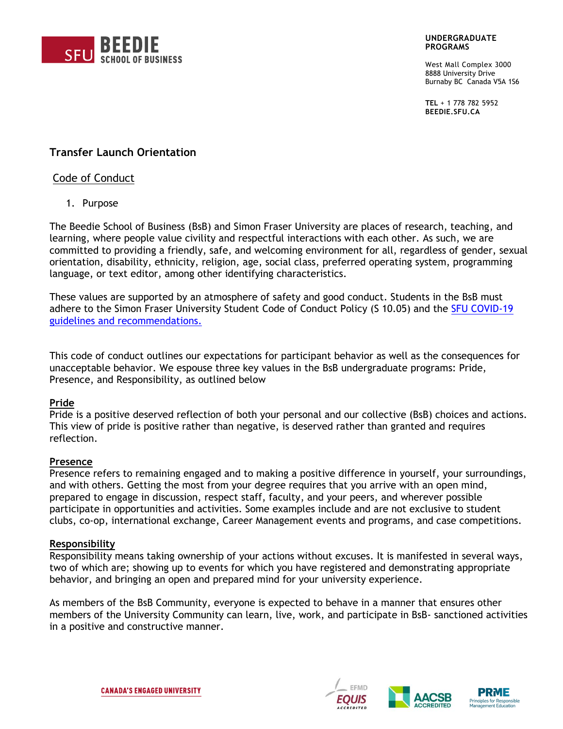

#### **UNDERGRADUATE PROGRAMS**

West Mall Complex 3000 8888 University Drive Burnaby BC Canada V5A 1S6

**TEL** + 1 778 782 5952 **BEEDIE.SFU.CA**

# **Transfer Launch Orientation**

## Code of Conduct

1. Purpose

The Beedie School of Business (BsB) and Simon Fraser University are places of research, teaching, and learning, where people value civility and respectful interactions with each other. As such, we are committed to providing a friendly, safe, and welcoming environment for all, regardless of gender, sexual orientation, disability, ethnicity, religion, age, social class, preferred operating system, programming language, or text editor, among other identifying characteristics.

These values are supported by an atmosphere of safety and good conduct. Students in the BsB must adhere to the Simon Fraser University Student Code of Conduct Policy (S 10.05) and the [SFU COVID-19](https://www.sfu.ca/sfunews/alerts/sfu-community-frequently-asked-questions-about-coronavirus/students.html#C19)  [guidelines and recommendations.](https://www.sfu.ca/sfunews/alerts/sfu-community-frequently-asked-questions-about-coronavirus/students.html#C19)

This code of conduct outlines our expectations for participant behavior as well as the consequences for unacceptable behavior. We espouse three key values in the BsB undergraduate programs: Pride, Presence, and Responsibility, as outlined below

## **Pride**

Pride is a positive deserved reflection of both your personal and our collective (BsB) choices and actions. This view of pride is positive rather than negative, is deserved rather than granted and requires reflection.

### **Presence**

Presence refers to remaining engaged and to making a positive difference in yourself, your surroundings, and with others. Getting the most from your degree requires that you arrive with an open mind, prepared to engage in discussion, respect staff, faculty, and your peers, and wherever possible participate in opportunities and activities. Some examples include and are not exclusive to student clubs, co-op, international exchange, Career Management events and programs, and case competitions.

### **Responsibility**

Responsibility means taking ownership of your actions without excuses. It is manifested in several ways, two of which are; showing up to events for which you have registered and demonstrating appropriate behavior, and bringing an open and prepared mind for your university experience.

As members of the BsB Community, everyone is expected to behave in a manner that ensures other members of the University Community can learn, live, work, and participate in BsB- sanctioned activities in a positive and constructive manner.





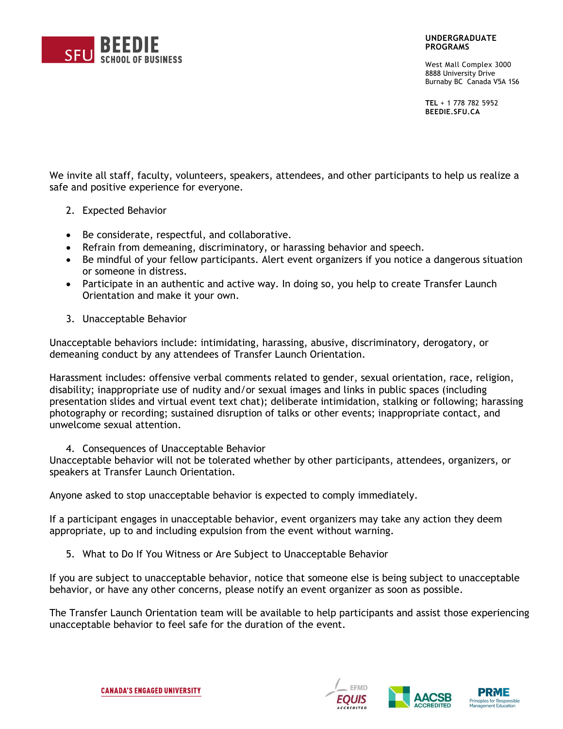

### **UNDERGRADUATE PROGRAMS**

West Mall Complex 3000 8888 University Drive Burnaby BC Canada V5A 1S6

**TEL** + 1 778 782 5952 **BEEDIE.SFU.CA**

We invite all staff, faculty, volunteers, speakers, attendees, and other participants to help us realize a safe and positive experience for everyone.

- 2. Expected Behavior
- Be considerate, respectful, and collaborative.
- Refrain from demeaning, discriminatory, or harassing behavior and speech.
- Be mindful of your fellow participants. Alert event organizers if you notice a dangerous situation or someone in distress.
- Participate in an authentic and active way. In doing so, you help to create Transfer Launch Orientation and make it your own.
- 3. Unacceptable Behavior

Unacceptable behaviors include: intimidating, harassing, abusive, discriminatory, derogatory, or demeaning conduct by any attendees of Transfer Launch Orientation.

Harassment includes: offensive verbal comments related to gender, sexual orientation, race, religion, disability; inappropriate use of nudity and/or sexual images and links in public spaces (including presentation slides and virtual event text chat); deliberate intimidation, stalking or following; harassing photography or recording; sustained disruption of talks or other events; inappropriate contact, and unwelcome sexual attention.

4. Consequences of Unacceptable Behavior

Unacceptable behavior will not be tolerated whether by other participants, attendees, organizers, or speakers at Transfer Launch Orientation.

Anyone asked to stop unacceptable behavior is expected to comply immediately.

If a participant engages in unacceptable behavior, event organizers may take any action they deem appropriate, up to and including expulsion from the event without warning.

5. What to Do If You Witness or Are Subject to Unacceptable Behavior

If you are subject to unacceptable behavior, notice that someone else is being subject to unacceptable behavior, or have any other concerns, please notify an event organizer as soon as possible.

The Transfer Launch Orientation team will be available to help participants and assist those experiencing unacceptable behavior to feel safe for the duration of the event.